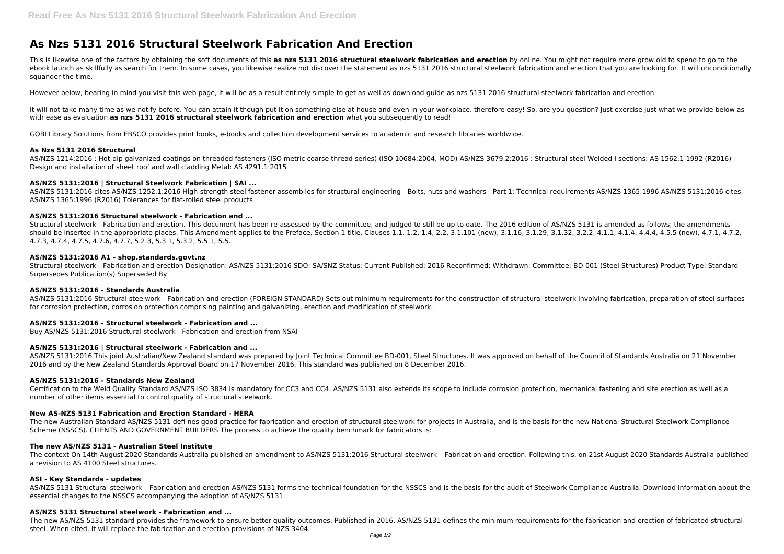# **As Nzs 5131 2016 Structural Steelwork Fabrication And Erection**

This is likewise one of the factors by obtaining the soft documents of this **as nzs 5131 2016 structural steelwork fabrication and erection** by online. You might not require more grow old to spend to go to the ebook launch as skillfully as search for them. In some cases, you likewise realize not discover the statement as nzs 5131 2016 structural steelwork fabrication and erection that you are looking for. It will unconditionally squander the time.

It will not take many time as we notify before. You can attain it though put it on something else at house and even in your workplace. therefore easy! So, are you question? Just exercise just what we provide below as with ease as evaluation **as nzs 5131 2016 structural steelwork fabrication and erection** what you subsequently to read!

However below, bearing in mind you visit this web page, it will be as a result entirely simple to get as well as download guide as nzs 5131 2016 structural steelwork fabrication and erection

GOBI Library Solutions from EBSCO provides print books, e-books and collection development services to academic and research libraries worldwide.

# **As Nzs 5131 2016 Structural**

AS/NZS 1214:2016 : Hot-dip galvanized coatings on threaded fasteners (ISO metric coarse thread series) (ISO 10684:2004, MOD) AS/NZS 3679.2:2016 : Structural steel Welded I sections: AS 1562.1-1992 (R2016) Design and installation of sheet roof and wall cladding Metal: AS 4291.1:2015

# **AS/NZS 5131:2016 | Structural Steelwork Fabrication | SAI ...**

AS/NZS 5131:2016 cites AS/NZS 1252.1:2016 High-strength steel fastener assemblies for structural engineering - Bolts, nuts and washers - Part 1: Technical requirements AS/NZS 1365:1996 AS/NZS 5131:2016 cites AS/NZS 1365:1996 (R2016) Tolerances for flat-rolled steel products

# **AS/NZS 5131:2016 Structural steelwork - Fabrication and ...**

Structural steelwork - Fabrication and erection. This document has been re-assessed by the committee, and judged to still be up to date. The 2016 edition of AS/NZS 5131 is amended as follows; the amendments should be inserted in the appropriate places. This Amendment applies to the Preface, Section 1 title, Clauses 1.1, 1.2, 1.4, 2.2, 3.1.101 (new), 3.1.16, 3.1.29, 3.1.32, 3.2.2, 4.1.1, 4.1.4, 4.4.4, 4.5.5 (new), 4.7.1, 4.7.2, 4.7.3, 4.7.4, 4.7.5, 4.7.6, 4.7.7, 5.2.3, 5.3.1, 5.3.2, 5.5.1, 5.5.

#### **AS/NZS 5131:2016 A1 - shop.standards.govt.nz**

Structural steelwork - Fabrication and erection Designation: AS/NZS 5131:2016 SDO: SA/SNZ Status: Current Published: 2016 Reconfirmed: Withdrawn: Committee: BD-001 (Steel Structures) Product Type: Standard Supersedes Publication(s) Superseded By

#### **AS/NZS 5131:2016 - Standards Australia**

AS/NZS 5131:2016 Structural steelwork - Fabrication and erection (FOREIGN STANDARD) Sets out minimum requirements for the construction of structural steelwork involving fabrication, preparation of steel surfaces for corrosion protection, corrosion protection comprising painting and galvanizing, erection and modification of steelwork.

# **AS/NZS 5131:2016 - Structural steelwork - Fabrication and ...**

Buy AS/NZS 5131:2016 Structural steelwork - Fabrication and erection from NSAI

# **AS/NZS 5131:2016 | Structural steelwork - Fabrication and ...**

AS/NZS 5131:2016 This joint Australian/New Zealand standard was prepared by Joint Technical Committee BD-001, Steel Structures. It was approved on behalf of the Council of Standards Australia on 21 November 2016 and by the New Zealand Standards Approval Board on 17 November 2016. This standard was published on 8 December 2016.

#### **AS/NZS 5131:2016 - Standards New Zealand**

Certification to the Weld Quality Standard AS/NZS ISO 3834 is mandatory for CC3 and CC4. AS/NZS 5131 also extends its scope to include corrosion protection, mechanical fastening and site erection as well as a number of other items essential to control quality of structural steelwork.

#### **New AS-NZS 5131 Fabrication and Erection Standard - HERA**

The new Australian Standard AS/NZS 5131 defi nes good practice for fabrication and erection of structural steelwork for projects in Australia, and is the basis for the new National Structural Steelwork Compliance Scheme (NSSCS). CLIENTS AND GOVERNMENT BUILDERS The process to achieve the quality benchmark for fabricators is:

#### **The new AS/NZS 5131 - Australian Steel Institute**

The context On 14th August 2020 Standards Australia published an amendment to AS/NZS 5131:2016 Structural steelwork – Fabrication and erection. Following this, on 21st August 2020 Standards Australia published a revision to AS 4100 Steel structures.

#### **ASI - Key Standards - updates**

AS/NZS 5131 Structural steelwork – Fabrication and erection AS/NZS 5131 forms the technical foundation for the NSSCS and is the basis for the audit of Steelwork Compliance Australia. Download information about the essential changes to the NSSCS accompanying the adoption of AS/NZS 5131.

#### **AS/NZS 5131 Structural steelwork - Fabrication and ...**

The new AS/NZS 5131 standard provides the framework to ensure better quality outcomes. Published in 2016, AS/NZS 5131 defines the minimum requirements for the fabrication and erection of fabricated structural steel. When cited, it will replace the fabrication and erection provisions of NZS 3404.